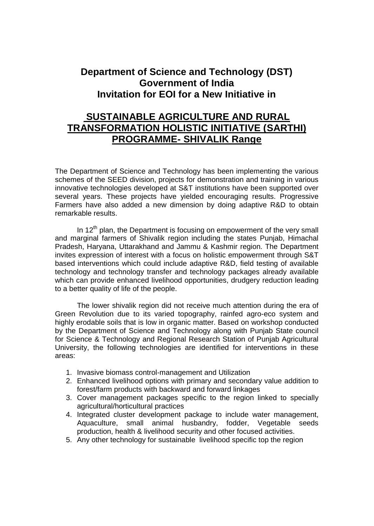## **Department of Science and Technology (DST) Government of India Invitation for EOI for a New Initiative in**

## **SUSTAINABLE AGRICULTURE AND RURAL TRANSFORMATION HOLISTIC INITIATIVE (SARTHI) PROGRAMME- SHIVALIK Range**

The Department of Science and Technology has been implementing the various schemes of the SEED division, projects for demonstration and training in various innovative technologies developed at S&T institutions have been supported over several years. These projects have yielded encouraging results. Progressive Farmers have also added a new dimension by doing adaptive R&D to obtain remarkable results.

In  $12<sup>th</sup>$  plan, the Department is focusing on empowerment of the very small and marginal farmers of Shivalik region including the states Punjab, Himachal Pradesh, Haryana, Uttarakhand and Jammu & Kashmir region. The Department invites expression of interest with a focus on holistic empowerment through S&T based interventions which could include adaptive R&D, field testing of available technology and technology transfer and technology packages already available which can provide enhanced livelihood opportunities, drudgery reduction leading to a better quality of life of the people.

The lower shivalik region did not receive much attention during the era of Green Revolution due to its varied topography, rainfed agro-eco system and highly erodable soils that is low in organic matter. Based on workshop conducted by the Department of Science and Technology along with Punjab State council for Science & Technology and Regional Research Station of Punjab Agricultural University, the following technologies are identified for interventions in these areas:

- 1. Invasive biomass control-management and Utilization
- 2. Enhanced livelihood options with primary and secondary value addition to forest/farm products with backward and forward linkages
- 3. Cover management packages specific to the region linked to specially agricultural/horticultural practices
- 4. Integrated cluster development package to include water management, Aquaculture, small animal husbandry, fodder, Vegetable seeds production, health & livelihood security and other focused activities.
- 5. Any other technology for sustainable livelihood specific top the region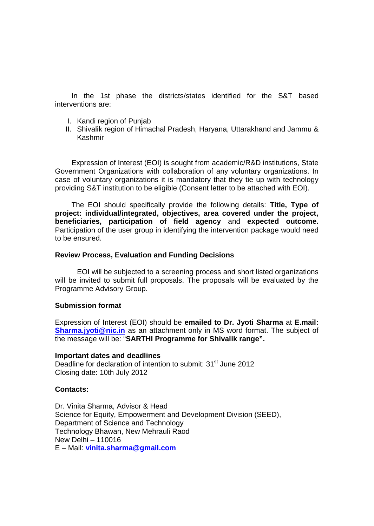In the 1st phase the districts/states identified for the S&T based interventions are:

- I. Kandi region of Punjab
- II. Shivalik region of Himachal Pradesh, Haryana, Uttarakhand and Jammu & Kashmir

Expression of Interest (EOI) is sought from academic/R&D institutions, State Government Organizations with collaboration of any voluntary organizations. In case of voluntary organizations it is mandatory that they tie up with technology providing S&T institution to be eligible (Consent letter to be attached with EOI).

The EOI should specifically provide the following details: Title, Type of project: individual/integrated, objectives, area covered under the project, beneficiaries, participation of field agency and expected outcome. Participation of the user group in identifying the intervention package would need to be ensured.

Review Process, Evaluation and Funding Decisions

EOI will be subjected to a screening process and short listed organizations will be invited to submit full proposals. The proposals will be evaluated by the Programme Advisory Group.

Submission format

Expression of Interest (EOI) should be emailed to Dr. Jyoti Sharma at E.mail: Sharma.[jyoti@nic.in](mailto:jyoti@nic.in) as an attachment only in MS word format. The subject of the message will be:  $\bigoplus$ ARTHI Programme for Shival ik range  $\bigoplus$ .

Important dates and deadlines Deadline for declaration of intention to submit: 31<sup>st</sup> June 2012 Closing date: 10th July 2012

Contacts:

Dr. Vinita Sharma, Advisor & Head Science for Equity, Empowerment and Development Division (SEED), Department of Science and Technology Technology Bhawan, New Mehrauli Raod New Delhi • 110016 E • Mail: vinita.sharma@gmail.com